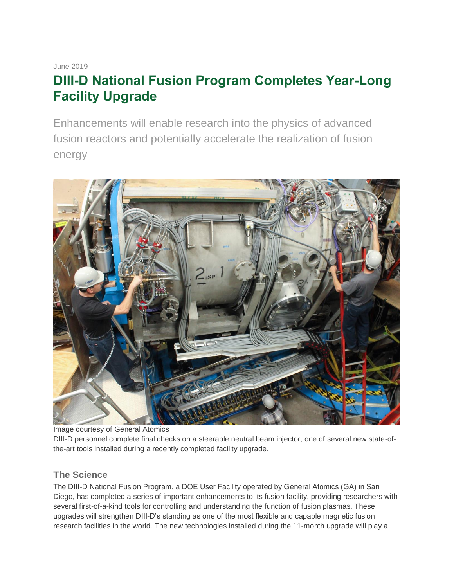June 2019

# **DIII-D National Fusion Program Completes Year-Long Facility Upgrade**

Enhancements will enable research into the physics of advanced fusion reactors and potentially accelerate the realization of fusion energy



Image courtesy of General Atomics

DIII-D personnel complete final checks on a steerable neutral beam injector, one of several new state-ofthe-art tools installed during a recently completed facility upgrade.

# **The Science**

The DIII-D National Fusion Program, a DOE User Facility operated by General Atomics (GA) in San Diego, has completed a series of important enhancements to its fusion facility, providing researchers with several first-of-a-kind tools for controlling and understanding the function of fusion plasmas. These upgrades will strengthen DIII-D's standing as one of the most flexible and capable magnetic fusion research facilities in the world. The new technologies installed during the 11-month upgrade will play a